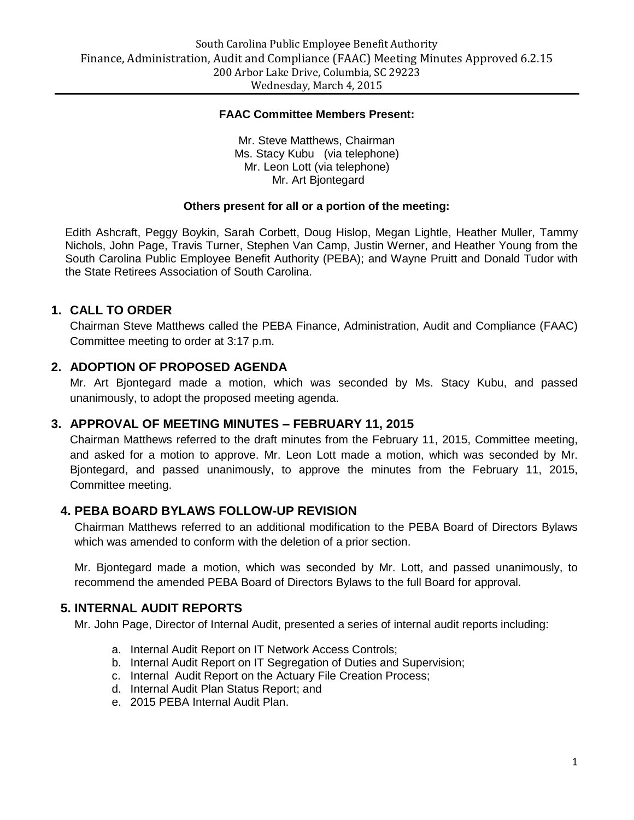#### **FAAC Committee Members Present:**

Mr. Steve Matthews, Chairman Ms. Stacy Kubu (via telephone) Mr. Leon Lott (via telephone) Mr. Art Bjontegard

#### **Others present for all or a portion of the meeting:**

Edith Ashcraft, Peggy Boykin, Sarah Corbett, Doug Hislop, Megan Lightle, Heather Muller, Tammy Nichols, John Page, Travis Turner, Stephen Van Camp, Justin Werner, and Heather Young from the South Carolina Public Employee Benefit Authority (PEBA); and Wayne Pruitt and Donald Tudor with the State Retirees Association of South Carolina.

### **1. CALL TO ORDER**

Chairman Steve Matthews called the PEBA Finance, Administration, Audit and Compliance (FAAC) Committee meeting to order at 3:17 p.m.

## **2. ADOPTION OF PROPOSED AGENDA**

Mr. Art Bjontegard made a motion, which was seconded by Ms. Stacy Kubu, and passed unanimously, to adopt the proposed meeting agenda.

#### **3. APPROVAL OF MEETING MINUTES – FEBRUARY 11, 2015**

Chairman Matthews referred to the draft minutes from the February 11, 2015, Committee meeting, and asked for a motion to approve. Mr. Leon Lott made a motion, which was seconded by Mr. Bjontegard, and passed unanimously, to approve the minutes from the February 11, 2015, Committee meeting.

## **4. PEBA BOARD BYLAWS FOLLOW-UP REVISION**

Chairman Matthews referred to an additional modification to the PEBA Board of Directors Bylaws which was amended to conform with the deletion of a prior section.

Mr. Bjontegard made a motion, which was seconded by Mr. Lott, and passed unanimously, to recommend the amended PEBA Board of Directors Bylaws to the full Board for approval.

## **5. INTERNAL AUDIT REPORTS**

Mr. John Page, Director of Internal Audit, presented a series of internal audit reports including:

- a. Internal Audit Report on IT Network Access Controls;
- b. Internal Audit Report on IT Segregation of Duties and Supervision;
- c. Internal Audit Report on the Actuary File Creation Process;
- d. Internal Audit Plan Status Report; and
- e. 2015 PEBA Internal Audit Plan.